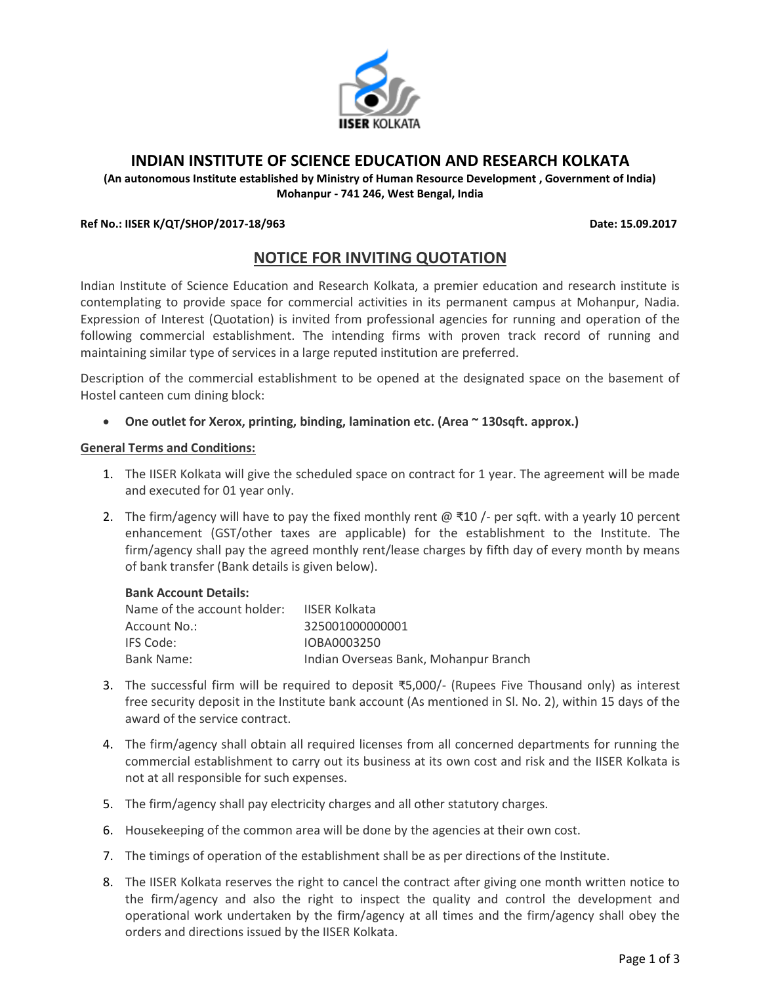

# **INDIAN INSTITUTE OF SCIENCE EDUCATION AND RESEARCH KOLKATA**

**(An autonomous Institute established by Ministry of Human Resource Development , Government of India) Mohanpur - 741 246, West Bengal, India**

#### **Ref No.: IISER K/QT/SHOP/2017-18/963 Date: 15.09.2017**

## **NOTICE FOR INVITING QUOTATION**

Indian Institute of Science Education and Research Kolkata, a premier education and research institute is contemplating to provide space for commercial activities in its permanent campus at Mohanpur, Nadia. Expression of Interest (Quotation) is invited from professional agencies for running and operation of the following commercial establishment. The intending firms with proven track record of running and maintaining similar type of services in a large reputed institution are preferred.

Description of the commercial establishment to be opened at the designated space on the basement of Hostel canteen cum dining block:

**One outlet for Xerox, printing, binding, lamination etc. (Area ~ 130sqft. approx.)**

#### **General Terms and Conditions:**

- 1. The IISER Kolkata will give the scheduled space on contract for 1 year. The agreement will be made and executed for 01 year only.
- 2. The firm/agency will have to pay the fixed monthly rent @  $\overline{3}10$  /- per sqft. with a yearly 10 percent enhancement (GST/other taxes are applicable) for the establishment to the Institute. The firm/agency shall pay the agreed monthly rent/lease charges by fifth day of every month by means of bank transfer (Bank details is given below).

#### **Bank Account Details:**

| Name of the account holder: | <b>IISER Kolkata</b>                  |
|-----------------------------|---------------------------------------|
| Account No.:                | 325001000000001                       |
| IFS Code:                   | IOBA0003250                           |
| Bank Name:                  | Indian Overseas Bank, Mohanpur Branch |

- 3. The successful firm will be required to deposit ₹5,000/- (Rupees Five Thousand only) as interest free security deposit in the Institute bank account (As mentioned in Sl. No. 2), within 15 days of the award of the service contract.
- 4. The firm/agency shall obtain all required licenses from all concerned departments for running the commercial establishment to carry out its business at its own cost and risk and the IISER Kolkata is not at all responsible for such expenses.
- 5. The firm/agency shall pay electricity charges and all other statutory charges.
- 6. Housekeeping of the common area will be done by the agencies at their own cost.
- 7. The timings of operation of the establishment shall be as per directions of the Institute.
- 8. The IISER Kolkata reserves the right to cancel the contract after giving one month written notice to the firm/agency and also the right to inspect the quality and control the development and operational work undertaken by the firm/agency at all times and the firm/agency shall obey the orders and directions issued by the IISER Kolkata.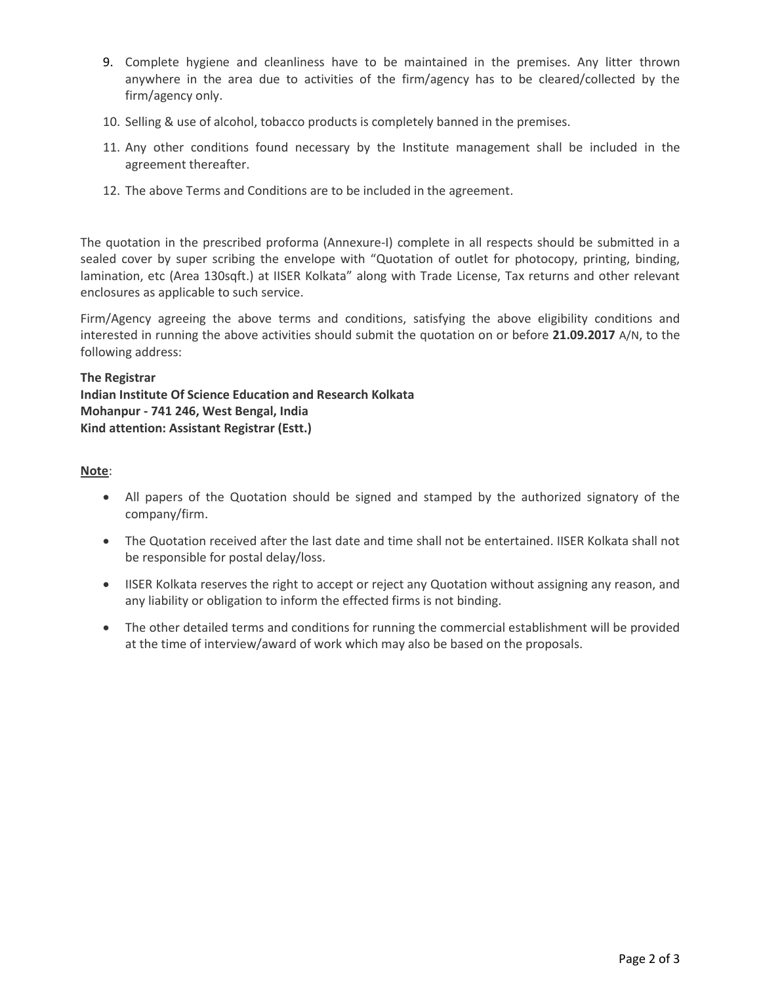- 9. Complete hygiene and cleanliness have to be maintained in the premises. Any litter thrown anywhere in the area due to activities of the firm/agency has to be cleared/collected by the firm/agency only.
- 10. Selling & use of alcohol, tobacco products is completely banned in the premises.
- 11. Any other conditions found necessary by the Institute management shall be included in the agreement thereafter.
- 12. The above Terms and Conditions are to be included in the agreement.

The quotation in the prescribed proforma (Annexure-I) complete in all respects should be submitted in a sealed cover by super scribing the envelope with "Quotation of outlet for photocopy, printing, binding, lamination, etc (Area 130sqft.) at IISER Kolkata" along with Trade License, Tax returns and other relevant enclosures as applicable to such service.

Firm/Agency agreeing the above terms and conditions, satisfying the above eligibility conditions and interested in running the above activities should submit the quotation on or before **21.09.2017** A/N, to the following address:

## **The Registrar**

**Indian Institute Of Science Education and Research Kolkata Mohanpur - 741 246, West Bengal, India Kind attention: Assistant Registrar (Estt.)**

## **Note**:

- All papers of the Quotation should be signed and stamped by the authorized signatory of the company/firm.
- The Quotation received after the last date and time shall not be entertained. IISER Kolkata shall not be responsible for postal delay/loss.
- IISER Kolkata reserves the right to accept or reject any Quotation without assigning any reason, and any liability or obligation to inform the effected firms is not binding.
- The other detailed terms and conditions for running the commercial establishment will be provided at the time of interview/award of work which may also be based on the proposals.